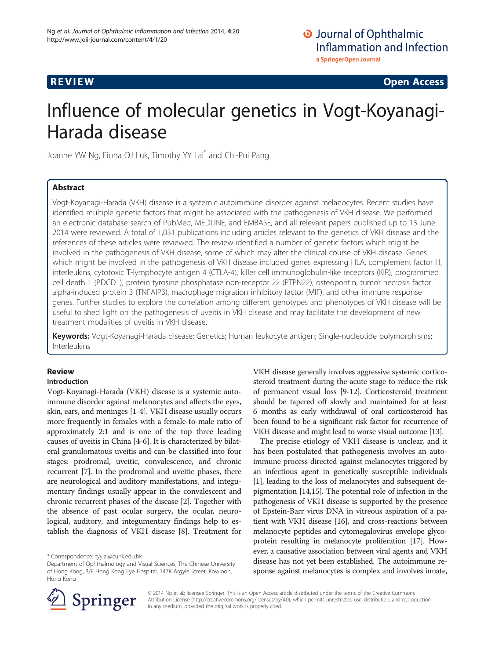**REVIEW REVIEW CONSTRUCTER CONSTRUCTION** 

# Influence of molecular genetics in Vogt-Koyanagi-Harada disease

Joanne YW Ng, Fiona OJ Luk, Timothy YY Lai\* and Chi-Pui Pang

# Abstract

Vogt-Koyanagi-Harada (VKH) disease is a systemic autoimmune disorder against melanocytes. Recent studies have identified multiple genetic factors that might be associated with the pathogenesis of VKH disease. We performed an electronic database search of PubMed, MEDLINE, and EMBASE, and all relevant papers published up to 13 June 2014 were reviewed. A total of 1,031 publications including articles relevant to the genetics of VKH disease and the references of these articles were reviewed. The review identified a number of genetic factors which might be involved in the pathogenesis of VKH disease, some of which may alter the clinical course of VKH disease. Genes which might be involved in the pathogenesis of VKH disease included genes expressing HLA, complement factor H, interleukins, cytotoxic T-lymphocyte antigen 4 (CTLA-4), killer cell immunoglobulin-like receptors (KIR), programmed cell death 1 (PDCD1), protein tyrosine phosphatase non-receptor 22 (PTPN22), osteopontin, tumor necrosis factor alpha-induced protein 3 (TNFAIP3), macrophage migration inhibitory factor (MIF), and other immune response genes. Further studies to explore the correlation among different genotypes and phenotypes of VKH disease will be useful to shed light on the pathogenesis of uveitis in VKH disease and may facilitate the development of new treatment modalities of uveitis in VKH disease.

Keywords: Vogt-Koyanagi-Harada disease; Genetics; Human leukocyte antigen; Single-nucleotide polymorphisms; Interleukins

# Review

# Introduction

Vogt-Koyanagi-Harada (VKH) disease is a systemic autoimmune disorder against melanocytes and affects the eyes, skin, ears, and meninges [\[1](#page-7-0)-[4\]](#page-7-0). VKH disease usually occurs more frequently in females with a female-to-male ratio of approximately 2:1 and is one of the top three leading causes of uveitis in China [[4-6\]](#page-7-0). It is characterized by bilateral granulomatous uveitis and can be classified into four stages: prodromal, uveitic, convalescence, and chronic recurrent [[7\]](#page-7-0). In the prodromal and uveitic phases, there are neurological and auditory manifestations, and integumentary findings usually appear in the convalescent and chronic recurrent phases of the disease [\[2](#page-7-0)]. Together with the absence of past ocular surgery, the ocular, neurological, auditory, and integumentary findings help to establish the diagnosis of VKH disease [[8\]](#page-7-0). Treatment for

VKH disease generally involves aggressive systemic corticosteroid treatment during the acute stage to reduce the risk of permanent visual loss [[9](#page-7-0)-[12](#page-7-0)]. Corticosteroid treatment should be tapered off slowly and maintained for at least 6 months as early withdrawal of oral corticosteroid has been found to be a significant risk factor for recurrence of VKH disease and might lead to worse visual outcome [[13](#page-7-0)].

The precise etiology of VKH disease is unclear, and it has been postulated that pathogenesis involves an autoimmune process directed against melanocytes triggered by an infectious agent in genetically susceptible individuals [[1\]](#page-7-0), leading to the loss of melanocytes and subsequent depigmentation [\[14,15](#page-7-0)]. The potential role of infection in the pathogenesis of VKH disease is supported by the presence of Epstein-Barr virus DNA in vitreous aspiration of a patient with VKH disease [[16](#page-7-0)], and cross-reactions between melanocyte peptides and cytomegalovirus envelope glycoprotein resulting in melanocyte proliferation [\[17\]](#page-7-0). However, a causative association between viral agents and VKH disease has not yet been established. The autoimmune response against melanocytes is complex and involves innate,



© 2014 Ng et al.; licensee Springer. This is an Open Access article distributed under the terms of the Creative Commons Attribution License [\(http://creativecommons.org/licenses/by/4.0\)](http://creativecommons.org/licenses/by/4.0), which permits unrestricted use, distribution, and reproduction in any medium, provided the original work is properly cited.

<sup>\*</sup> Correspondence: [tyylai@cuhk.edu.hk](mailto:tyylai@cuhk.edu.hk)

Department of Ophthalmology and Visual Sciences, The Chinese University of Hong Kong, 3/F Hong Kong Eye Hospital, 147K Argyle Street, Kowloon, Hong Kong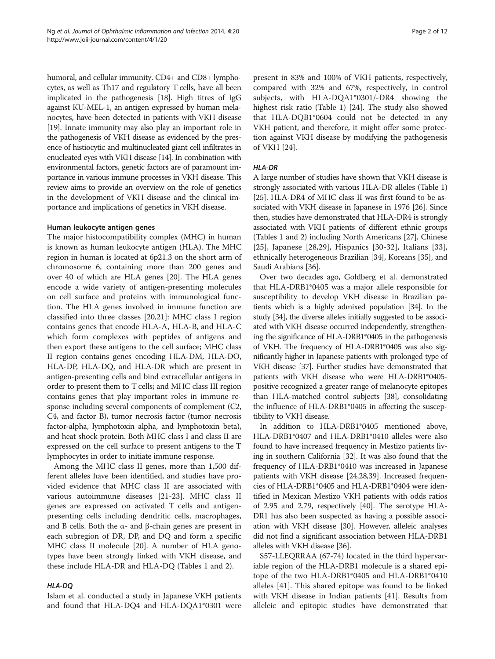humoral, and cellular immunity. CD4+ and CD8+ lymphocytes, as well as Th17 and regulatory T cells, have all been implicated in the pathogenesis [[18](#page-7-0)]. High titres of IgG against KU-MEL-1, an antigen expressed by human melanocytes, have been detected in patients with VKH disease [[19](#page-7-0)]. Innate immunity may also play an important role in the pathogenesis of VKH disease as evidenced by the presence of histiocytic and multinucleated giant cell infiltrates in enucleated eyes with VKH disease [\[14](#page-7-0)]. In combination with environmental factors, genetic factors are of paramount importance in various immune processes in VKH disease. This review aims to provide an overview on the role of genetics in the development of VKH disease and the clinical importance and implications of genetics in VKH disease.

#### Human leukocyte antigen genes

The major histocompatibility complex (MHC) in human is known as human leukocyte antigen (HLA). The MHC region in human is located at 6p21.3 on the short arm of chromosome 6, containing more than 200 genes and over 40 of which are HLA genes [[20\]](#page-7-0). The HLA genes encode a wide variety of antigen-presenting molecules on cell surface and proteins with immunological function. The HLA genes involved in immune function are classified into three classes [\[20,21](#page-7-0)]: MHC class I region contains genes that encode HLA-A, HLA-B, and HLA-C which form complexes with peptides of antigens and then export these antigens to the cell surface; MHC class II region contains genes encoding HLA-DM, HLA-DO, HLA-DP, HLA-DQ, and HLA-DR which are present in antigen-presenting cells and bind extracellular antigens in order to present them to T cells; and MHC class III region contains genes that play important roles in immune response including several components of complement (C2, C4, and factor B), tumor necrosis factor (tumor necrosis factor-alpha, lymphotoxin alpha, and lymphotoxin beta), and heat shock protein. Both MHC class I and class II are expressed on the cell surface to present antigens to the T lymphocytes in order to initiate immune response.

Among the MHC class II genes, more than 1,500 different alleles have been identified, and studies have provided evidence that MHC class II are associated with various autoimmune diseases [\[21](#page-7-0)-[23\]](#page-7-0). MHC class II genes are expressed on activated T cells and antigenpresenting cells including dendritic cells, macrophages, and B cells. Both the  $α$ - and  $β$ -chain genes are present in each subregion of DR, DP, and DQ and form a specific MHC class II molecule [\[20\]](#page-7-0). A number of HLA genotypes have been strongly linked with VKH disease, and these include HLA-DR and HLA-DQ (Tables [1](#page-2-0) and [2](#page-2-0)).

Islam et al. conducted a study in Japanese VKH patients and found that HLA-DQ4 and HLA-DQA1\*0301 were

present in 83% and 100% of VKH patients, respectively, compared with 32% and 67%, respectively, in control subjects, with HLA-DQA1\*0301/-DR4 showing the highest risk ratio (Table [1](#page-2-0)) [[24](#page-7-0)]. The study also showed that HLA-DQB1\*0604 could not be detected in any VKH patient, and therefore, it might offer some protection against VKH disease by modifying the pathogenesis of VKH [[24](#page-7-0)].

## **HLA-DR**

A large number of studies have shown that VKH disease is strongly associated with various HLA-DR alleles (Table [1](#page-2-0)) [[25](#page-8-0)]. HLA-DR4 of MHC class II was first found to be associated with VKH disease in Japanese in 1976 [\[26](#page-8-0)]. Since then, studies have demonstrated that HLA-DR4 is strongly associated with VKH patients of different ethnic groups (Tables [1](#page-2-0) and [2](#page-2-0)) including North Americans [\[27\]](#page-8-0), Chinese [[25\]](#page-8-0), Japanese [\[28](#page-8-0),[29\]](#page-8-0), Hispanics [[30-32](#page-8-0)], Italians [\[33](#page-8-0)], ethnically heterogeneous Brazilian [[34](#page-8-0)], Koreans [\[35\]](#page-8-0), and Saudi Arabians [[36](#page-8-0)].

Over two decades ago, Goldberg et al. demonstrated that HLA-DRB1\*0405 was a major allele responsible for susceptibility to develop VKH disease in Brazilian patients which is a highly admixed population [\[34](#page-8-0)]. In the study [\[34](#page-8-0)], the diverse alleles initially suggested to be associated with VKH disease occurred independently, strengthening the significance of HLA-DRB1\*0405 in the pathogenesis of VKH. The frequency of HLA-DRB1\*0405 was also significantly higher in Japanese patients with prolonged type of VKH disease [[37](#page-8-0)]. Further studies have demonstrated that patients with VKH disease who were HLA-DRB1\*0405 positive recognized a greater range of melanocyte epitopes than HLA-matched control subjects [\[38\]](#page-8-0), consolidating the influence of HLA-DRB1\*0405 in affecting the susceptibility to VKH disease.

In addition to HLA-DRB1\*0405 mentioned above, HLA-DRB1\*0407 and HLA-DRB1\*0410 alleles were also found to have increased frequency in Mestizo patients living in southern California [[32](#page-8-0)]. It was also found that the frequency of HLA-DRB1\*0410 was increased in Japanese patients with VKH disease [\[24,](#page-7-0)[28,39](#page-8-0)]. Increased frequencies of HLA-DRB1\*0405 and HLA-DRB1\*0404 were identified in Mexican Mestizo VKH patients with odds ratios of 2.95 and 2.79, respectively [\[40\]](#page-8-0). The serotype HLA-DR1 has also been suspected as having a possible association with VKH disease [[30](#page-8-0)]. However, alleleic analyses did not find a significant association between HLA-DRB1 alleles with VKH disease [[36](#page-8-0)].

S57-LLEQRRAA (67-74) located in the third hypervariable region of the HLA-DRB1 molecule is a shared epitope of the two HLA-DRB1\*0405 and HLA-DRB1\*0410 alleles [\[41](#page-8-0)]. This shared epitope was found to be linked with VKH disease in Indian patients [\[41\]](#page-8-0). Results from alleleic and epitopic studies have demonstrated that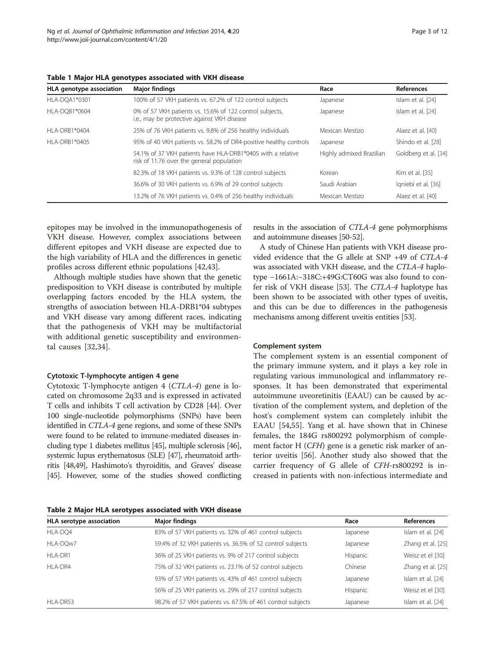| HLA genotype association | <b>Major findings</b>                                                                                    | Race                     | <b>References</b>    |
|--------------------------|----------------------------------------------------------------------------------------------------------|--------------------------|----------------------|
| HLA-DOA1*0301            | 100% of 57 VKH patients vs. 67.2% of 122 control subjects                                                | Japanese                 | Islam et al. [24]    |
| HLA-DOB1*0604            | 0% of 57 VKH patients vs. 15.6% of 122 control subjects,<br>i.e., may be protective against VKH disease  | Japanese                 | Islam et al. [24]    |
| HI A-DRB1*0404           | 25% of 76 VKH patients vs. 9.8% of 256 healthy individuals                                               | Mexican Mestizo          | Alaez et al. [40]    |
| HI A-DRB1*0405           | 95% of 40 VKH patients vs. 58.2% of DR4-positive healthy controls                                        | Japanese                 | Shindo et al. [28]   |
|                          | 54.1% of 37 VKH patients have HLA-DRB1*0405 with a relative<br>risk of 11.76 over the general population | Highly admixed Brazilian | Goldberg et al. [34] |
|                          | 82.3% of 18 VKH patients vs. 9.3% of 128 control subjects                                                | Korean                   | Kim et al. [35]      |
|                          | 36.6% of 30 VKH patients vs. 6.9% of 29 control subjects                                                 | Saudi Arabian            | Igniebi et al. [36]  |
|                          | 13.2% of 76 VKH patients vs. 0.4% of 256 healthy individuals                                             | Mexican Mestizo          | Alaez et al. [40]    |

<span id="page-2-0"></span>Table 1 Major HLA genotypes associated with VKH disease

epitopes may be involved in the immunopathogenesis of VKH disease. However, complex associations between different epitopes and VKH disease are expected due to the high variability of HLA and the differences in genetic profiles across different ethnic populations [[42](#page-8-0),[43](#page-8-0)].

Although multiple studies have shown that the genetic predisposition to VKH disease is contributed by multiple overlapping factors encoded by the HLA system, the strengths of association between HLA-DRB1\*04 subtypes and VKH disease vary among different races, indicating that the pathogenesis of VKH may be multifactorial with additional genetic susceptibility and environmental causes [[32,34](#page-8-0)].

## Cytotoxic T-lymphocyte antigen 4 gene

Cytotoxic T-lymphocyte antigen 4 (CTLA-4) gene is located on chromosome 2q33 and is expressed in activated T cells and inhibits T cell activation by CD28 [[44\]](#page-8-0). Over 100 single-nucleotide polymorphisms (SNPs) have been identified in CTLA-4 gene regions, and some of these SNPs were found to be related to immune-mediated diseases including type 1 diabetes mellitus [[45](#page-8-0)], multiple sclerosis [\[46](#page-8-0)], systemic lupus erythematosus (SLE) [\[47](#page-8-0)], rheumatoid arthritis [\[48,49](#page-8-0)], Hashimoto's thyroiditis, and Graves' disease [[45](#page-8-0)]. However, some of the studies showed conflicting

Table 2 Major HLA serotypes associated with VKH disease

results in the association of CTLA-4 gene polymorphisms and autoimmune diseases [\[50-52](#page-8-0)].

A study of Chinese Han patients with VKH disease provided evidence that the G allele at SNP +49 of CTLA-4 was associated with VKH disease, and the CTLA-4 haplotype −1661A:−318C:+49G:CT60G was also found to confer risk of VKH disease [[53\]](#page-8-0). The CTLA-4 haplotype has been shown to be associated with other types of uveitis, and this can be due to differences in the pathogenesis mechanisms among different uveitis entities [\[53\]](#page-8-0).

#### Complement system

The complement system is an essential component of the primary immune system, and it plays a key role in regulating various immunological and inflammatory responses. It has been demonstrated that experimental autoimmune uveoretinitis (EAAU) can be caused by activation of the complement system, and depletion of the host's complement system can completely inhibit the EAAU [[54,55\]](#page-8-0). Yang et al. have shown that in Chinese females, the 184G rs800292 polymorphism of complement factor H (CFH) gene is a genetic risk marker of anterior uveitis [[56](#page-8-0)]. Another study also showed that the carrier frequency of G allele of CFH-rs800292 is increased in patients with non-infectious intermediate and

| HLA serotype association | <b>Major findings</b>                                      | Race     | <b>References</b> |
|--------------------------|------------------------------------------------------------|----------|-------------------|
| HLA-DQ4                  | 83% of 57 VKH patients vs. 32% of 461 control subjects     | Japanese | Islam et al. [24] |
| HLA-DQw7                 | 59.4% of 32 VKH patients vs. 36.5% of 52 control subjects  | Japanese | Zhang et al. [25] |
| HLA-DR1                  | 36% of 25 VKH patients vs. 9% of 217 control subjects      | Hispanic | Weisz et el [30]  |
| HLA-DR4                  | 75% of 32 VKH patients vs. 23.1% of 52 control subjects    | Chinese  | Zhang et al. [25] |
|                          | 93% of 57 VKH patients vs. 43% of 461 control subjects     | Japanese | Islam et al. [24] |
|                          | 56% of 25 VKH patients vs. 29% of 217 control subjects     | Hispanic | Weisz et el [30]  |
| HLA-DR53                 | 98.2% of 57 VKH patients vs. 67.5% of 461 control subjects | Japanese | Islam et al. [24] |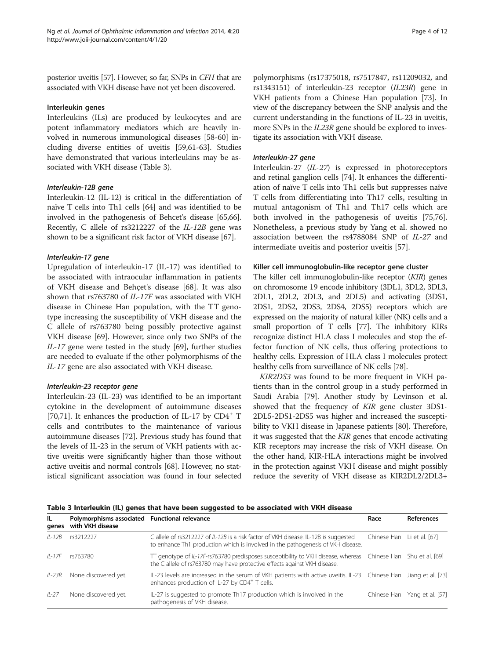posterior uveitis [\[57\]](#page-8-0). However, so far, SNPs in CFH that are associated with VKH disease have not yet been discovered.

#### Interleukin genes

Interleukins (ILs) are produced by leukocytes and are potent inflammatory mediators which are heavily involved in numerous immunological diseases [[58-60\]](#page-8-0) including diverse entities of uveitis [\[59,61](#page-8-0)-[63](#page-8-0)]. Studies have demonstrated that various interleukins may be associated with VKH disease (Table 3).

Interleukin-12 (IL-12) is critical in the differentiation of naïve T cells into Th1 cells [[64](#page-8-0)] and was identified to be involved in the pathogenesis of Behcet's disease [\[65,66](#page-8-0)]. Recently, C allele of rs3212227 of the IL-12B gene was shown to be a significant risk factor of VKH disease [\[67\]](#page-8-0).

Upregulation of interleukin-17 (IL-17) was identified to be associated with intraocular inflammation in patients of VKH disease and Behçet's disease [\[68](#page-8-0)]. It was also shown that rs763780 of IL-17F was associated with VKH disease in Chinese Han population, with the TT genotype increasing the susceptibility of VKH disease and the C allele of rs763780 being possibly protective against VKH disease [[69](#page-8-0)]. However, since only two SNPs of the IL-17 gene were tested in the study [[69](#page-8-0)], further studies are needed to evaluate if the other polymorphisms of the IL-17 gene are also associated with VKH disease.

Interleukin-23 (IL-23) was identified to be an important cytokine in the development of autoimmune diseases [[70,71\]](#page-9-0). It enhances the production of IL-17 by  $CD4^+$  T cells and contributes to the maintenance of various autoimmune diseases [\[72](#page-9-0)]. Previous study has found that the levels of IL-23 in the serum of VKH patients with active uveitis were significantly higher than those without active uveitis and normal controls [[68](#page-8-0)]. However, no statistical significant association was found in four selected

polymorphisms (rs17375018, rs7517847, rs11209032, and rs1343151) of interleukin-23 receptor (IL23R) gene in VKH patients from a Chinese Han population [\[73\]](#page-9-0). In view of the discrepancy between the SNP analysis and the current understanding in the functions of IL-23 in uveitis, more SNPs in the *IL23R* gene should be explored to investigate its association with VKH disease.

Interleukin-27 (IL-27) is expressed in photoreceptors and retinal ganglion cells [[74\]](#page-9-0). It enhances the differentiation of naïve T cells into Th1 cells but suppresses naïve T cells from differentiating into Th17 cells, resulting in mutual antagonism of Th1 and Th17 cells which are both involved in the pathogenesis of uveitis [\[75,76](#page-9-0)]. Nonetheless, a previous study by Yang et al. showed no association between the rs4788084 SNP of IL-27 and intermediate uveitis and posterior uveitis [\[57](#page-8-0)].

#### Killer cell immunoglobulin-like receptor gene cluster

The killer cell immunoglobulin-like receptor (KIR) genes on chromosome 19 encode inhibitory (3DL1, 3DL2, 3DL3, 2DL1, 2DL2, 2DL3, and 2DL5) and activating (3DS1, 2DS1, 2DS2, 2DS3, 2DS4, 2DS5) receptors which are expressed on the majority of natural killer (NK) cells and a small proportion of T cells [\[77\]](#page-9-0). The inhibitory KIRs recognize distinct HLA class I molecules and stop the effector function of NK cells, thus offering protections to healthy cells. Expression of HLA class I molecules protect healthy cells from surveillance of NK cells [\[78\]](#page-9-0).

KIR2DS3 was found to be more frequent in VKH patients than in the control group in a study performed in Saudi Arabia [\[79\]](#page-9-0). Another study by Levinson et al. showed that the frequency of KIR gene cluster 3DS1- 2DL5-2DS1-2DS5 was higher and increased the susceptibility to VKH disease in Japanese patients [\[80\]](#page-9-0). Therefore, it was suggested that the KIR genes that encode activating KIR receptors may increase the risk of VKH disease. On the other hand, KIR-HLA interactions might be involved in the protection against VKH disease and might possibly reduce the severity of VKH disease as KIR2DL2/2DL3+

Table 3 Interleukin (IL) genes that have been suggested to be associated with VKH disease

| IL.<br>genes | Polymorphisms associated Functional relevance<br>with VKH disease |                                                                                                                                                                                            | Race                       | <b>References</b>            |
|--------------|-------------------------------------------------------------------|--------------------------------------------------------------------------------------------------------------------------------------------------------------------------------------------|----------------------------|------------------------------|
| $II-12B$     | rs3212227                                                         | C allele of rs3212227 of IL-12B is a risk factor of VKH disease. IL-12B is suggested<br>to enhance Th1 production which is involved in the pathogenesis of VKH disease.                    | Chinese Han Li et al. [67] |                              |
| IL-17F       | rs763780                                                          | TT genotype of IL-17F-rs763780 predisposes susceptibility to VKH disease, whereas Chinese Han Shu et al. [69]<br>the C allele of rs763780 may have protective effects against VKH disease. |                            |                              |
| IL-23R       | None discovered yet.                                              | IL-23 levels are increased in the serum of VKH patients with active uveitis. IL-23 Chinese Han Jiang et al. [73]<br>enhances production of IL-27 by CD4 <sup>+</sup> T cells.              |                            |                              |
| $II - 27$    | None discovered yet.                                              | IL-27 is suggested to promote Th17 production which is involved in the<br>pathogenesis of VKH disease.                                                                                     |                            | Chinese Han Yang et al. [57] |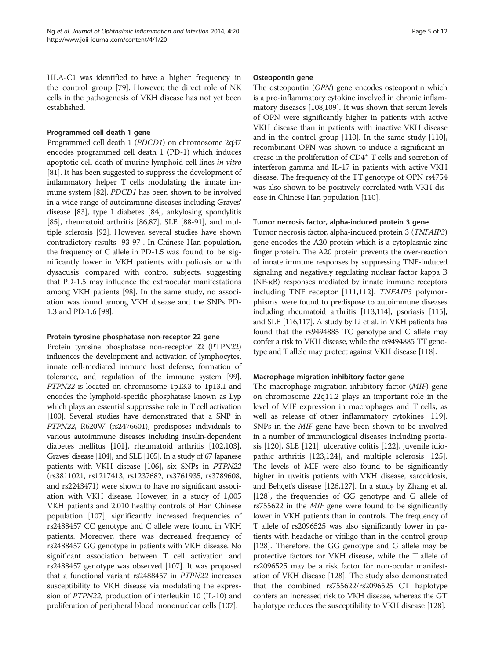HLA-C1 was identified to have a higher frequency in the control group [\[79\]](#page-9-0). However, the direct role of NK cells in the pathogenesis of VKH disease has not yet been established.

#### Programmed cell death 1 gene

Programmed cell death 1 (PDCD1) on chromosome 2q37 encodes programmed cell death 1 (PD-1) which induces apoptotic cell death of murine lymphoid cell lines in vitro [[81](#page-9-0)]. It has been suggested to suppress the development of inflammatory helper T cells modulating the innate immune system [[82](#page-9-0)]. PDCD1 has been shown to be involved in a wide range of autoimmune diseases including Graves' disease [\[83](#page-9-0)], type I diabetes [\[84\]](#page-9-0), ankylosing spondylitis [[85](#page-9-0)], rheumatoid arthritis [\[86,87\]](#page-9-0), SLE [[88](#page-9-0)-[91](#page-9-0)], and multiple sclerosis [[92](#page-9-0)]. However, several studies have shown contradictory results [\[93-97](#page-9-0)]. In Chinese Han population, the frequency of C allele in PD-1.5 was found to be significantly lower in VKH patients with poliosis or with dysacusis compared with control subjects, suggesting that PD-1.5 may influence the extraocular manifestations among VKH patients [\[98](#page-9-0)]. In the same study, no association was found among VKH disease and the SNPs PD-1.3 and PD-1.6 [[98](#page-9-0)].

#### Protein tyrosine phosphatase non-receptor 22 gene

Protein tyrosine phosphatase non-receptor 22 (PTPN22) influences the development and activation of lymphocytes, innate cell-mediated immune host defense, formation of tolerance, and regulation of the immune system [\[99](#page-9-0)]. PTPN22 is located on chromosome 1p13.3 to 1p13.1 and encodes the lymphoid-specific phosphatase known as Lyp which plays an essential suppressive role in T cell activation [[100\]](#page-9-0). Several studies have demonstrated that a SNP in PTPN22, R620W (rs2476601), predisposes individuals to various autoimmune diseases including insulin-dependent diabetes mellitus [[101](#page-9-0)], rheumatoid arthritis [\[102,103](#page-9-0)], Graves' disease [\[104\]](#page-10-0), and SLE [\[105](#page-10-0)]. In a study of 67 Japanese patients with VKH disease [[106](#page-10-0)], six SNPs in PTPN22 (rs3811021, rs1217413, rs1237682, rs3761935, rs3789608, and rs2243471) were shown to have no significant association with VKH disease. However, in a study of 1,005 VKH patients and 2,010 healthy controls of Han Chinese population [[107](#page-10-0)], significantly increased frequencies of rs2488457 CC genotype and C allele were found in VKH patients. Moreover, there was decreased frequency of rs2488457 GG genotype in patients with VKH disease. No significant association between T cell activation and rs2488457 genotype was observed [[107](#page-10-0)]. It was proposed that a functional variant rs2488457 in PTPN22 increases susceptibility to VKH disease via modulating the expression of PTPN22, production of interleukin 10 (IL-10) and proliferation of peripheral blood mononuclear cells [\[107\]](#page-10-0).

#### Osteopontin gene

The osteopontin (OPN) gene encodes osteopontin which is a pro-inflammatory cytokine involved in chronic inflammatory diseases [\[108,109](#page-10-0)]. It was shown that serum levels of OPN were significantly higher in patients with active VKH disease than in patients with inactive VKH disease and in the control group [\[110\]](#page-10-0). In the same study [[110](#page-10-0)], recombinant OPN was shown to induce a significant increase in the proliferation of CD4<sup>+</sup> T cells and secretion of interferon gamma and IL-17 in patients with active VKH disease. The frequency of the TT genotype of OPN rs4754 was also shown to be positively correlated with VKH disease in Chinese Han population [[110](#page-10-0)].

#### Tumor necrosis factor, alpha-induced protein 3 gene

Tumor necrosis factor, alpha-induced protein 3 (TNFAIP3) gene encodes the A20 protein which is a cytoplasmic zinc finger protein. The A20 protein prevents the over-reaction of innate immune responses by suppressing TNF-induced signaling and negatively regulating nuclear factor kappa B (NF-κB) responses mediated by innate immune receptors including TNF receptor [[111,112\]](#page-10-0). TNFAIP3 polymorphisms were found to predispose to autoimmune diseases including rheumatoid arthritis [[113,114](#page-10-0)], psoriasis [\[115](#page-10-0)], and SLE [\[116,117](#page-10-0)]. A study by Li et al. in VKH patients has found that the rs9494885 TC genotype and C allele may confer a risk to VKH disease, while the rs9494885 TT genotype and T allele may protect against VKH disease [[118\]](#page-10-0).

## Macrophage migration inhibitory factor gene

The macrophage migration inhibitory factor (MIF) gene on chromosome 22q11.2 plays an important role in the level of MIF expression in macrophages and T cells, as well as release of other inflammatory cytokines [[119](#page-10-0)]. SNPs in the MIF gene have been shown to be involved in a number of immunological diseases including psoriasis [[120\]](#page-10-0), SLE [\[121\]](#page-10-0), ulcerative colitis [[122\]](#page-10-0), juvenile idiopathic arthritis [\[123,124\]](#page-10-0), and multiple sclerosis [[125](#page-10-0)]. The levels of MIF were also found to be significantly higher in uveitis patients with VKH disease, sarcoidosis, and Behçet's disease [\[126,127](#page-10-0)]. In a study by Zhang et al. [[128](#page-10-0)], the frequencies of GG genotype and G allele of rs755622 in the MIF gene were found to be significantly lower in VKH patients than in controls. The frequency of T allele of rs2096525 was also significantly lower in patients with headache or vitiligo than in the control group [[128](#page-10-0)]. Therefore, the GG genotype and G allele may be protective factors for VKH disease, while the T allele of rs2096525 may be a risk factor for non-ocular manifestation of VKH disease [[128](#page-10-0)]. The study also demonstrated that the combined rs755622/rs2096525 CT haplotype confers an increased risk to VKH disease, whereas the GT haplotype reduces the susceptibility to VKH disease [[128](#page-10-0)].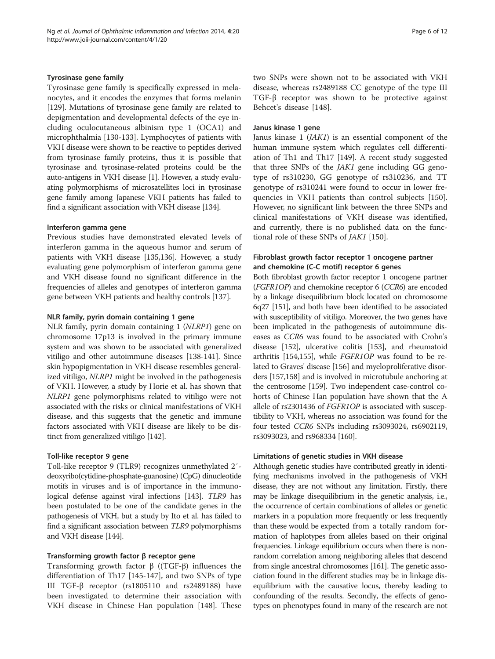## Tyrosinase gene family

Tyrosinase gene family is specifically expressed in melanocytes, and it encodes the enzymes that forms melanin [[129\]](#page-10-0). Mutations of tyrosinase gene family are related to depigmentation and developmental defects of the eye including oculocutaneous albinism type 1 (OCA1) and microphthalmia [[130-133\]](#page-10-0). Lymphocytes of patients with VKH disease were shown to be reactive to peptides derived from tyrosinase family proteins, thus it is possible that tyrosinase and tyrosinase-related proteins could be the auto-antigens in VKH disease [[1](#page-7-0)]. However, a study evaluating polymorphisms of microsatellites loci in tyrosinase gene family among Japanese VKH patients has failed to find a significant association with VKH disease [\[134\]](#page-10-0).

## Interferon gamma gene

Previous studies have demonstrated elevated levels of interferon gamma in the aqueous humor and serum of patients with VKH disease [\[135,136](#page-10-0)]. However, a study evaluating gene polymorphism of interferon gamma gene and VKH disease found no significant difference in the frequencies of alleles and genotypes of interferon gamma gene between VKH patients and healthy controls [\[137\]](#page-10-0).

# NLR family, pyrin domain containing 1 gene

NLR family, pyrin domain containing 1 (NLRP1) gene on chromosome 17p13 is involved in the primary immune system and was shown to be associated with generalized vitiligo and other autoimmune diseases [\[138-141\]](#page-10-0). Since skin hypopigmentation in VKH disease resembles generalized vitiligo, NLRP1 might be involved in the pathogenesis of VKH. However, a study by Horie et al. has shown that NLRP1 gene polymorphisms related to vitiligo were not associated with the risks or clinical manifestations of VKH disease, and this suggests that the genetic and immune factors associated with VKH disease are likely to be distinct from generalized vitiligo [\[142\]](#page-11-0).

# Toll-like receptor 9 gene

Toll-like receptor 9 (TLR9) recognizes unmethylated 2′ deoxyribo(cytidine-phosphate-guanosine) (CpG) dinucleotide motifs in viruses and is of importance in the immunological defense against viral infections [\[143\]](#page-11-0). TLR9 has been postulated to be one of the candidate genes in the pathogenesis of VKH, but a study by Ito et al. has failed to find a significant association between TLR9 polymorphisms and VKH disease [[144\]](#page-11-0).

## Transforming growth factor β receptor gene

Transforming growth factor β ((TGF-β) influences the differentiation of Th17 [[145](#page-11-0)-[147\]](#page-11-0), and two SNPs of type III TGF-β receptor (rs1805110 and rs2489188) have been investigated to determine their association with VKH disease in Chinese Han population [\[148\]](#page-11-0). These two SNPs were shown not to be associated with VKH disease, whereas rs2489188 CC genotype of the type III TGF-β receptor was shown to be protective against Behcet's disease [[148\]](#page-11-0).

## Janus kinase 1 gene

Janus kinase 1 (JAK1) is an essential component of the human immune system which regulates cell differentiation of Th1 and Th17 [\[149\]](#page-11-0). A recent study suggested that three SNPs of the *JAK1* gene including GG genotype of rs310230, GG genotype of rs310236, and TT genotype of rs310241 were found to occur in lower frequencies in VKH patients than control subjects [[150](#page-11-0)]. However, no significant link between the three SNPs and clinical manifestations of VKH disease was identified, and currently, there is no published data on the functional role of these SNPs of JAK1 [\[150\]](#page-11-0).

# Fibroblast growth factor receptor 1 oncogene partner and chemokine (C-C motif) receptor 6 genes

Both fibroblast growth factor receptor 1 oncogene partner (FGFR1OP) and chemokine receptor 6 (CCR6) are encoded by a linkage disequilibrium block located on chromosome 6q27 [\[151](#page-11-0)], and both have been identified to be associated with susceptibility of vitiligo. Moreover, the two genes have been implicated in the pathogenesis of autoimmune diseases as CCR6 was found to be associated with Crohn's disease [\[152](#page-11-0)], ulcerative colitis [\[153\]](#page-11-0), and rheumatoid arthritis [[154,155\]](#page-11-0), while FGFR1OP was found to be related to Graves' disease [[156](#page-11-0)] and myeloproliferative disorders [\[157,158](#page-11-0)] and is involved in microtubule anchoring at the centrosome [[159](#page-11-0)]. Two independent case-control cohorts of Chinese Han population have shown that the A allele of rs2301436 of FGFR1OP is associated with susceptibility to VKH, whereas no association was found for the four tested CCR6 SNPs including rs3093024, rs6902119, rs3093023, and rs968334 [[160](#page-11-0)].

# Limitations of genetic studies in VKH disease

Although genetic studies have contributed greatly in identifying mechanisms involved in the pathogenesis of VKH disease, they are not without any limitation. Firstly, there may be linkage disequilibrium in the genetic analysis, i.e., the occurrence of certain combinations of alleles or genetic markers in a population more frequently or less frequently than these would be expected from a totally random formation of haplotypes from alleles based on their original frequencies. Linkage equilibrium occurs when there is nonrandom correlation among neighboring alleles that descend from single ancestral chromosomes [[161\]](#page-11-0). The genetic association found in the different studies may be in linkage disequilibrium with the causative locus, thereby leading to confounding of the results. Secondly, the effects of genotypes on phenotypes found in many of the research are not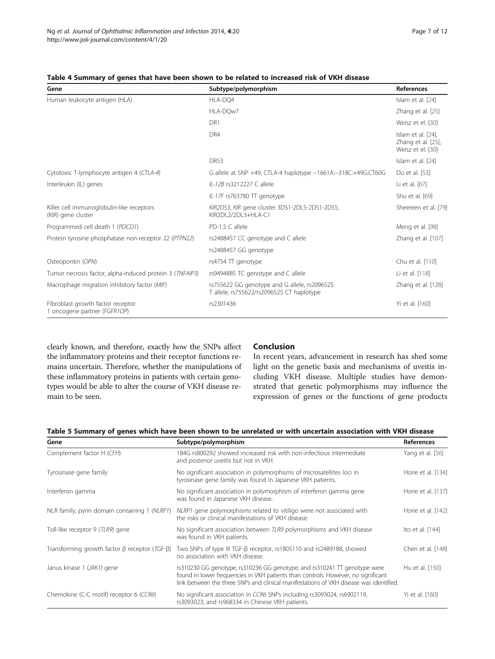| Gene                                                              | Subtype/polymorphism                                                                      | <b>References</b>                                             |
|-------------------------------------------------------------------|-------------------------------------------------------------------------------------------|---------------------------------------------------------------|
| Human leukocyte antigen (HLA)                                     | HLA-DQ4                                                                                   | Islam et al. [24]                                             |
|                                                                   | HLA-DOw7                                                                                  | Zhang et al. [25]                                             |
|                                                                   | DR1                                                                                       | Weisz et el. [30]                                             |
|                                                                   | DR4                                                                                       | Islam et al. [24],<br>Zhang et al. [25],<br>Weisz et el. [30] |
|                                                                   | <b>DR53</b>                                                                               | Islam et al. [24]                                             |
| Cytotoxic T-lymphocyte antigen 4 (CTLA-4)                         | G allele at SNP +49, CTLA-4 haplotype -1661A:-318C:+49G:CT60G                             | Du et al. [53]                                                |
| Interleukin (IL) genes                                            | II-12B rs3212227 C allele                                                                 | Li et al. [67]                                                |
|                                                                   | IL-17F rs763780 TT genotype                                                               | Shu et al. [69]                                               |
| Killer cell immunoglobulin-like receptors<br>(KIR) gene cluster   | KIR2DS3, KIR gene cluster 3DS1-2DL5-2DS1-2DS5,<br>KIR2DI 2/2DI 3+HI A-C1                  | Sheereen et al. [79]                                          |
| Programmed cell death 1 (PDCD1)                                   | PD-1.5 C allele                                                                           | Meng et al. [98]                                              |
| Protein tyrosine phosphatase non-receptor 22 (PTPN22)             | rs2488457 CC genotype and C allele                                                        | Zhang et al. [107]                                            |
|                                                                   | rs2488457 GG genotype                                                                     |                                                               |
| Osteopontin (OPN)                                                 | rs4754 TT genotype                                                                        | Chu et al. [110]                                              |
| Tumor necrosis factor, alpha-induced protein 3 (TNFAIP3)          | rs9494885 TC genotype and C allele                                                        | Li et al. [118]                                               |
| Macrophage migration inhibitory factor (MIF)                      | rs755622 GG genotype and G allele, rs2096525<br>T allele, rs755622/rs2096525 CT haplotype | Zhang et al. [128]                                            |
| Fibroblast growth factor receptor<br>1 oncogene partner (FGFR1OP) | rs2301436                                                                                 | Yi et al. [160]                                               |

# <span id="page-6-0"></span>Table 4 Summary of genes that have been shown to be related to increased risk of VKH disease

clearly known, and therefore, exactly how the SNPs affect the inflammatory proteins and their receptor functions remains uncertain. Therefore, whether the manipulations of these inflammatory proteins in patients with certain genotypes would be able to alter the course of VKH disease remain to be seen.

# Conclusion

In recent years, advancement in research has shed some light on the genetic basis and mechanisms of uveitis including VKH disease. Multiple studies have demonstrated that genetic polymorphisms may influence the expression of genes or the functions of gene products

# Table 5 Summary of genes which have been shown to be unrelated or with uncertain association with VKH disease

| Gene                                                        | Subtype/polymorphism                                                                                                                                                                                                                                     | <b>References</b>  |
|-------------------------------------------------------------|----------------------------------------------------------------------------------------------------------------------------------------------------------------------------------------------------------------------------------------------------------|--------------------|
| Complement factor H (CFH)                                   | 184G rs800292 showed increased risk with non-infectious intermediate<br>and posterior uveitis but not in VKH.                                                                                                                                            | Yang et al. [56]   |
| Tyrosinase gene family                                      | No significant association in polymorphisms of microsatellites loci in<br>tyrosinase gene family was found in Japanese VKH patients.                                                                                                                     | Horie et al. [134] |
| Interferon gamma                                            | No significant association in polymorphism of interferon gamma gene<br>was found in Japanese VKH disease.                                                                                                                                                | Horie et al. [137] |
| NLR family, pyrin domain containing 1 (NLRP1)               | NLRP1 gene polymorphisms related to vitiligo were not associated with<br>the risks or clinical manifestations of VKH disease.                                                                                                                            | Horie et al. [142] |
| Toll-like receptor 9 (TLR9) gene                            | No significant association between TLR9 polymorphisms and VKH disease<br>was found in VKH patients.                                                                                                                                                      | Ito et al. [144]   |
| Transforming growth factor $\beta$ receptor (TGF- $\beta$ ) | Two SNPs of type III TGF-β receptor, rs1805110 and rs2489188, showed<br>no association with VKH disease.                                                                                                                                                 | Chen et al. [148]  |
| Janus kinase 1 (JAK1) gene                                  | rs310230 GG genotype, rs310236 GG genotype, and rs310241 TT genotype were<br>found in lower frequencies in VKH patients than controls. However, no significant<br>link between the three SNPs and clinical manifestations of VKH disease was identified. | Hu et al. [150]    |
| Chemokine (C-C motif) receptor 6 (CCR6)                     | No significant association in CCR6 SNPs including rs3093024, rs6902119,<br>rs3093023, and rs968334 in Chinese VKH patients.                                                                                                                              | Yi et al. [160]    |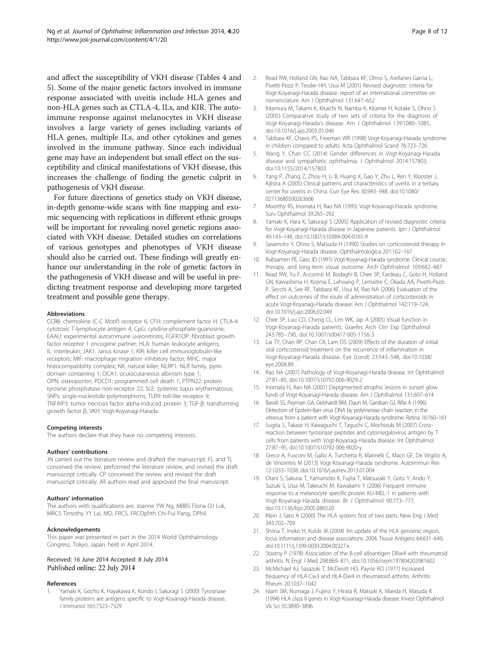<span id="page-7-0"></span>and affect the susceptibility of VKH disease (Tables [4](#page-6-0) and [5\)](#page-6-0). Some of the major genetic factors involved in immune response associated with uveitis include HLA genes and non-HLA genes such as CTLA-4, ILs, and KIR. The autoimmune response against melanocytes in VKH disease involves a large variety of genes including variants of HLA genes, multiple ILs, and other cytokines and genes involved in the immune pathway. Since each individual gene may have an independent but small effect on the susceptibility and clinical manifestations of VKH disease, this increases the challenge of finding the genetic culprit in pathogenesis of VKH disease.

For future directions of genetics study on VKH disease, in-depth genome-wide scans with fine mapping and exomic sequencing with replications in different ethnic groups will be important for revealing novel genetic regions associated with VKH disease. Detailed studies on correlations of various genotypes and phenotypes of VKH disease should also be carried out. These findings will greatly enhance our understanding in the role of genetic factors in the pathogenesis of VKH disease and will be useful in predicting treatment response and developing more targeted treatment and possible gene therapy.

#### Abbreviations

CCR6: chemokine (C-C Motif) receptor 6; CFH: complement factor H; CTLA-4: cytotoxic T-lymphocyte antigen 4; CpG: cytidine-phosphate-guanosine; EAAU: experimental autoimmune uveoretinitis; FGFR1OP: fibroblast growth factor receptor 1 oncogene partner; HLA: human leukocyte antigens; IL: interleukin; JAK1: Janus kinase 1; KIR: killer cell immunoglobulin-like receptors; MIF: macrophage migration inhibitory factor; MHC: major histocompatibility complex; NK: natural killer; NLRP1: NLR family, pyrin domain containing 1; OCA1: oculocutaneous albinism type 1; OPN: osteopontin; PDCD1: programmed cell death 1; PTPN22: protein tyrosine phosphatase non-receptor 22; SLE: systemic lupus erythematosus; SNPs: single-nucleotide polymorphisms; TLR9: toll-like receptor 9; TNFAIP3: tumor necrosis factor alpha-induced protein 3; TGF-β: transforming growth factor β; VKH: Vogt-Koyanagi-Harada.

#### Competing interests

The authors declare that they have no competing interests.

#### Authors' contributions

JN carried out the literature review and drafted the manuscript. FL and TL conceived the review, performed the literature review, and revised the draft manuscript critically. CP conceived the review and revised the draft manuscript critically. All authors read and approved the final manuscript.

#### Authors' information

The authors with qualifications are: Joanne YW Ng, MBBS FIona OJ Luk, MRCS Timothy YY Lai, MD, FRCS, FRCOphth Chi-Pui Pang, DPhil.

#### Acknowledgements

This paper was presented in part in the 2014 World Ophthalmology Congress, Tokyo, Japan, held in April 2014.

#### Received: 16 June 2014 Accepted: 8 July 2014 Published online: 22 July 2014

#### References

Yamaki K, Gocho K, Hayakawa K, Kondo I, Sakuragi S (2000) Tyrosinase family proteins are antigens specific to Vogt-Koyanagi-Harada disease. J Immunol 165:7323–7329

- 2. Read RW, Holland GN, Rao NA, Tabbara KF, Ohno S, Arellanes-Garcia L, Pivetti-Pezzi P, Tessler HH, Usui M (2001) Revised diagnostic criteria for Vogt-Koyanagi-Harada disease: report of an international committee on nomenclature. Am J Ophthalmol 131:647–652
- 3. Kitamura M, Takami K, Kitaichi N, Namba K, Kitamei H, Kotake S, Ohno S (2005) Comparative study of two sets of criteria for the diagnosis of Vogt-Koyanagi-Harada's disease. Am J Ophthalmol 139:1080–1085, doi:10.1016/j.ajo.2005.01.046
- 4. Tabbara KF, Chavis PS, Freeman WR (1998) Vogt-Koyanagi-Harada syndrome in children compared to adults. Acta Ophthalmol Scand 76:723–726
- 5. Wang Y, Chan CC (2014) Gender differences in Vogt-Koyanagi-Harada disease and sympathetic ophthalmia. J Ophthalmol 2014:157803, doi:10.1155/2014/157803
- 6. Yang P, Zhang Z, Zhou H, Li B, Huang X, Gao Y, Zhu L, Ren Y, Klooster J, Kijlstra A (2005) Clinical patterns and characteristics of uveitis in a tertiary center for uveitis in China. Curr Eye Res 30:943–948, doi:10.1080/ 02713680500263606
- 7. Moorthy RS, Inomata H, Rao NA (1995) Vogt-Koyanagi-Harada syndrome. Surv Ophthalmol 39:265–292
- 8. Yamaki K, Hara K, Sakuragi S (2005) Application of revised diagnostic criteria for Vogt-Koyanagi-Harada disease in Japanese patients. Jpn J Ophthalmol 49:143–148, doi:10.1007/s10384-004-0165-9
- 9. Sasamoto Y, Ohno S, Matsuda H (1990) Studies on corticosteroid therapy in Vogt-Koyanagi-Harada disease. Ophthalmologica 201:162–167
- 10. Rubsamen PE, Gass JD (1991) Vogt-Koyanagi-Harada syndrome. Clinical course, therapy, and long-term visual outcome. Arch Ophthalmol 109:682–687
- 11. Read RW, Yu F, Accorinti M, Bodaghi B, Chee SP, Fardeau C, Goto H, Holland GN, Kawashima H, Kojima E, Lehoang P, Lemaitre C, Okada AA, Pivetti-Pezzi P, Secchi A, See RF, Tabbara KF, Usui M, Rao NA (2006) Evaluation of the effect on outcomes of the route of administration of corticosteroids in acute Vogt-Koyanagi-Harada disease. Am J Ophthalmol 142:119–124, doi:10.1016/j.ajo.2006.02.049
- 12. Chee SP, Luu CD, Cheng CL, Lim WK, Jap A (2005) Visual function in Vogt-Koyanagi-Harada patients. Graefes Arch Clin Exp Ophthalmol 243:785–790, doi:10.1007/s00417-005-1156-3
- 13. Lai TY, Chan RP, Chan CK, Lam DS (2009) Effects of the duration of initial oral corticosteroid treatment on the recurrence of inflammation in Vogt-Koyanagi-Harada disease. Eye (Lond) 23:543–548, doi:10.1038/ eye.2008.89
- 14. Rao NA (2007) Pathology of Vogt-Koyanagi-Harada disease. Int Ophthalmol 27:81–85, doi:10.1007/s10792-006-9029-2
- 15. Inomata H, Rao NA (2001) Depigmented atrophic lesions in sunset glow fundi of Vogt-Koyanagi-Harada disease. Am J Ophthalmol 131:607–614
- 16. Bassili SS, Peyman GA, Gebhardt BM, Daun M, Ganiban GJ, Rifai A (1996) Detection of Epstein-Barr virus DNA by polymerase chain reaction in the vitreous from a patient with Vogt-Koyanagi-Harada syndrome. Retina 16:160–161
- 17. Sugita S, Takase H, Kawaguchi T, Taguchi C, Mochizuki M (2007) Crossreaction between tyrosinase peptides and cytomegalovirus antigen by T cells from patients with Vogt-Koyanagi-Harada disease. Int Ophthalmol 27:87–95, doi:10.1007/s10792-006-9020-y
- 18. Greco A, Fusconi M, Gallo A, Turchetta R, Marinelli C, Macri GF, De Virgilio A, de Vincentiis M (2013) Vogt-Koyanagi-Harada syndrome. Autoimmun Rev 12:1033–1038, doi:10.1016/j.autrev.2013.01.004
- 19. Otani S, Sakurai T, Yamamoto K, Fujita T, Matsuzaki Y, Goto Y, Ando Y, Suzuki S, Usui M, Takeuchi M, Kawakami Y (2006) Frequent immune response to a melanocyte specific protein KU-MEL-1 in patients with Vogt-Koyanagi-Harada disease. Br J Ophthalmol 90:773–777, doi:10.1136/bjo.2005.086520
- 20. Klein J, Sato A (2000) The HLA system: first of two parts. New Eng J Med 343:702–709
- 21. Shiina T, Inoko H, Kulski JK (2004) An update of the HLA genomic region, locus information and disease associations: 2004. Tissue Antigens 64:631–649, doi:10.1111/j.1399-0039.2004.00327.x
- 22. Stastny P (1978) Association of the B-cell alloantigen DRw4 with rheumatoid arthritis. N Engl J Med 298:869–871, doi:10.1056/nejm197804202981602
- 23. McMichael AJ, Sasazuki T, McDevitt HO, Payne RO (1977) Increased frequency of HLA-Cw3 and HLA-Dw4 in rheumatoid arthritis. Arthritis Rheum 20:1037–1042
- 24. Islam SM, Numaga J, Fujino Y, Hirata R, Matsuki K, Maeda H, Masuda K (1994) HLA class II genes in Vogt-Koyanagi-Harada disease. Invest Ophthalmol Vis Sci 35:3890–3896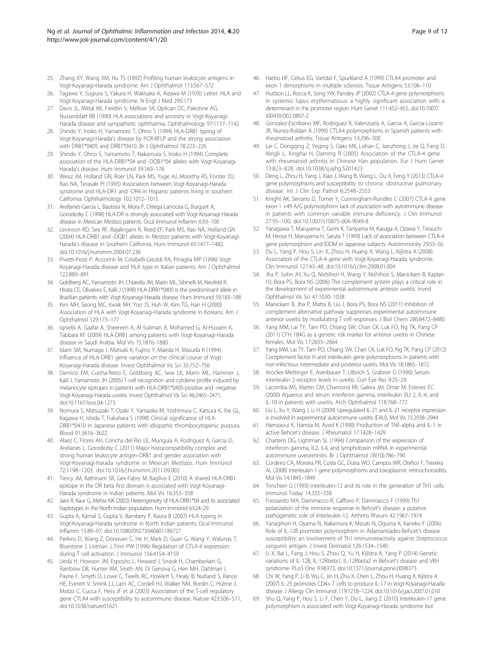- <span id="page-8-0"></span>25. Zhang XY, Wang XM, Hu TS (1992) Profiling human leukocyte antigens in Vogt-Koyanagi-Harada syndrome. Am J Ophthalmol 113:567–572
- 26. Tagawa Y, Sugiura S, Yakura H, Wakisaka A, Aizawa M (1976) Letter: HLA and Vogt-Koyanagi-Harada syndrome. N Engl J Med 295:173
- 27. Davis JL, Mittal KK, Freidlin V, Mellow SR, Optican DC, Palestine AG, Nussenblatt RB (1990) HLA associations and ancestry in Vogt-Koyanagi-Harada disease and sympathetic ophthalmia. Ophthalmology 97:1137–1142
- 28. Shindo Y, Inoko H, Yamamoto T, Ohno S (1994) HLA-DRB1 typing of Vogt-Koyanagi-Harada's disease by PCR-RFLP and the strong association with DRB1\*0405 and DRB1\*0410. Br J Ophthalmol 78:223–226
- 29. Shindo Y, Ohno S, Yamamoto T, Nakamura S, Inoko H (1994) Complete association of the HLA-DRB1\*04 and -DQB1\*04 alleles with Vogt-Koyanagi-Harada's disease. Hum Immunol 39:169–176
- 30. Weisz JM, Holland GN, Roer LN, Park MS, Yuge AJ, Moorthy RS, Forster DJ, Rao NA, Terasaki PI (1995) Association between Vogt-Koyanagi-Harada syndrome and HLA-DR1 and -DR4 in Hispanic patients living in southern California. Ophthalmology 102:1012–1015
- 31. Arellanes-Garcia L, Bautista N, Mora P, Ortega-Larrocea G, Burguet A, Gorodezky C (1998) HLA-DR is strongly associated with Vogt-Koyanagi-Harada disease in Mexican Mestizo patients. Ocul Immunol Inflamm 6:93–100
- 32. Levinson RD, See RF, Rajalingam R, Reed EF, Park MS, Rao NA, Holland GN (2004) HLA-DRB1 and -DQB1 alleles in Mestizo patients with Vogt-Koyanagi-Harada's disease in Southern California. Hum Immunol 65:1477–1482, doi:10.1016/j.humimm.2004.07.236
- 33. Pivetti-Pezzi P, Accorinti M, Colabelli-Gisoldi RA, Pirraglia MP (1996) Vogt-Koyanagi-Harada disease and HLA type in Italian patients. Am J Ophthalmol 122:889–891
- 34. Goldberg AC, Yamamoto JH, Chiarella JM, Marin ML, Sibinelli M, Neufeld R, Hirata CE, Olivalves E, Kalil J (1998) HLA-DRB1\*0405 is the predominant allele in Brazilian patients with Vogt-Koyanagi-Harada disease. Hum Immunol 59:183–188
- 35. Kim MH, Seong MC, Kwak NH, Yoo JS, Huh W, Kim TG, Han H (2000) Association of HLA with Vogt-Koyanagi-Harada syndrome in Koreans. Am J Ophthalmol 129:173–177
- 36. Iqniebi A, Gaafar A, Sheereen A, Al-Suliman A, Mohamed G, Al-Hussein K, Tabbara KF (2009) HLA-DRB1 among patients with Vogt-Koyanagi-Harada disease in Saudi Arabia. Mol Vis 15:1876–1880
- 37. Islam SM, Numaga J, Matsuki K, Fujino Y, Maeda H, Masuda K (1994) Influence of HLA-DRB1 gene variation on the clinical course of Vogt-Koyanagi-Harada disease. Invest Ophthalmol Vis Sci 35:752–756
- 38. Damico FM, Cunha-Neto E, Goldberg AC, Iwai LK, Marin ML, Hammer J, Kalil J, Yamamoto JH (2005) T-cell recognition and cytokine profile induced by melanocyte epitopes in patients with HLA-DRB1\*0405-positive and -negative Vogt-Koyanagi-Harada uveitis. Invest Ophthalmol Vis Sci 46:2465–2471, doi:10.1167/iovs.04-1273
- 39. Nomura S, Matsuzaki T, Ozaki Y, Yamaoka M, Yoshimura C, Katsura K, Xie GL, Kagawa H, Ishida T, Fukuhara S (1998) Clinical significance of HLA-DRB1\*0410 in Japanese patients with idiopathic thrombocytopenic purpura. Blood 91:3616–3622
- 40. Alaez C, Flores AH, Concha del Rio LE, Munguia A, Rodriguez A, Garcia D, Arellanes L, Gorodezky C (2011) Major histocompatibility complex and strong human leukocyte antigen-DRB1 and gender association with Vogt-Koyanagi-Harada syndrome in Mexican Mestizos. Hum Immunol 72:1198–1203, doi:10.1016/j.humimm.2011.09.002
- 41. Tiercy JM, Rathinam SR, Gex-Fabry M, Baglivo E (2010) A shared HLA-DRB1 epitope in the DR beta first domain is associated with Vogt-Koyanagi-Harada syndrome in Indian patients. Mol Vis 16:353–358
- 42. Jaini R, Kaur G, Mehra NK (2002) Heterogeneity of HLA-DRB1\*04 and its associated haplotypes in the North Indian population. Hum Immunol 63:24–29
- 43. Gupta A, Kamal S, Gupta V, Bambery P, Kaura B (2007) HLA typing in Vogt-Koyanagi-Harada syndrome in North Indian patients. Ocul Immunol Inflamm 15:89–97, doi:10.1080/09273940601186727
- 44. Perkins D, Wang Z, Donovan C, He H, Mark D, Guan G, Wang Y, Walunas T, Bluestone J, Listman J, Finn PW (1996) Regulation of CTLA-4 expression during T cell activation. J Immunol 156:4154–4159
- 45. Ueda H, Howson JM, Esposito L, Heward J, Snook H, Chamberlain G, Rainbow DB, Hunter KM, Smith AN, Di Genova G, Herr MH, Dahlman I, Payne F, Smyth D, Lowe C, Twells RC, Howlett S, Healy B, Nutland S, Rance HE, Everett V, Smink LJ, Lam AC, Cordell HJ, Walker NM, Bordin C, Hulme J, Motzo C, Cucca F, Hess JF et al (2003) Association of the T-cell regulatory gene CTLA4 with susceptibility to autoimmune disease. Nature 423:506–511, doi:10.1038/nature01621
- 46. Harbo HF, Celius EG, Vartdal F, Spurkland A (1999) CTLA4 promoter and exon 1 dimorphisms in multiple sclerosis. Tissue Antigens 53:106–110
- 47. Hudson LL, Rocca K, Song YW, Pandey JP (2002) CTLA-4 gene polymorphisms in systemic lupus erythematosus: a highly significant association with a determinant in the promoter region. Hum Genet 111:452–455, doi:10.1007/ s00439-002-0807-2
- 48. Gonzalez-Escribano MF, Rodriguez R, Valenzuela A, Garcia A, Garcia-Lozano JR, Nunez-Roldan A (1999) CTLA4 polymorphisms in Spanish patients with rheumatoid arthritis. Tissue Antigens 53:296–300
- 49. Lei C, Dongqing Z, Yeqing S, Oaks MK, Lishan C, Jianzhong J, Jie Q, Fang D, Ningli L, Xinghai H, Daming R (2005) Association of the CTLA-4 gene with rheumatoid arthritis in Chinese Han population. Eur J Hum Genet 13:823–828, doi:10.1038/sj.ejhg.5201423
- 50. Deng L, Zhou H, Yang J, Xiao J, Wang B, Wang L, Ou X, Feng Y (2013) CTLA-4 gene polymorphisms and susceptibility to chronic obstructive pulmonary disease. Int J Clin Exp Pathol 6:2548–2553
- 51. Knight AK, Serrano D, Tomer Y, Cunningham-Rundles C (2007) CTLA-4 gene exon-1 +49 A/G polymorphism: lack of association with autoimmune disease in patients with common variable immune deficiency. J Clin Immunol 27:95–100, doi:10.1007/s10875-006-9049-8
- 52. Yanagawa T, Maruyama T, Gomi K, Taniyama M, Kasuga A, Ozawa Y, Terauchi M, Hirose H, Maruyama H, Saruta T (1999) Lack of association between CTLA-4 gene polymorphism and IDDM in Japanese subjects. Autoimmunity 29:53–56
- 53. Du L, Yang P, Hou S, Lin X, Zhou H, Huang X, Wang L, Kijlstra A (2008) Association of the CTLA-4 gene with Vogt-Koyanagi-Harada syndrome. Clin Immunol 127:43–48, doi:10.1016/j.clim.2008.01.004
- 54. Jha P, Sohn JH, Xu Q, Nishihori H, Wang Y, Nishihori S, Manickam B, Kaplan HJ, Bora PS, Bora NS (2006) The complement system plays a critical role in the development of experimental autoimmune anterior uveitis. Invest Ophthalmol Vis Sci 47:1030–1038
- 55. Manickam B, Jha P, Matta B, Liu J, Bora PS, Bora NS (2011) Inhibition of complement alternative pathway suppresses experimental autoimmune anterior uveitis by modulating T cell responses. J Biol Chem 286:8472–8480
- 56. Yang MM, Lai TY, Tam PO, Chiang SW, Chan CK, Luk FO, Ng TK, Pang CP (2011) CFH 184G as a genetic risk marker for anterior uveitis in Chinese females. Mol Vis 17:2655–2664
- 57. Yang MM, Lai TY, Tam PO, Chiang SW, Chan CK, Luk FO, Ng TK, Pang CP (2012) Complement factor H and interleukin gene polymorphisms in patients with non-infectious intermediate and posterior uveitis. Mol Vis 18:1865–1872
- 58. Arocker-Mettinger E, Asenbauer T, Ulbrich S, Grabner G (1990) Serum interleukin 2-receptor levels in uveitis. Curr Eye Res 9:25–29
- 59. Lacomba MS, Martin CM, Chamond RR, Galera JM, Omar M, Estevez EC (2000) Aqueous and serum interferon gamma, interleukin (IL) 2, IL-4, and IL-10 in patients with uveitis. Arch Ophthalmol 118:768–772
- 60. Liu L, Xu Y, Wang J, Li H (2009) Upregulated IL-21 and IL-21 receptor expression is involved in experimental autoimmune uveitis (EAU). Mol Vis 15:2938–2944
- 61. Hamzaoui K, Hamza M, Ayed K (1990) Production of TNF-alpha and IL-1 in active Behcet's disease. J Rheumatol 17:1428–1429
- 62. Charteris DG, Lightman SL (1994) Comparison of the expression of interferon gamma, IL2, IL4, and lymphotoxin mRNA in experimental autoimmune uveoretinitis. Br J Ophthalmol 78(10):786–790
- 63. Cordeiro CA, Moreira PR, Costa GC, Dutra WO, Campos WR, Orefice F, Teixeira AL (2008) Interleukin-1 gene polymorphisms and toxoplasmic retinochoroiditis. Mol Vis 14:1845–1849
- 64. Trinchieri G (1993) Interleukin-12 and its role in the generation of TH1 cells. Immunol Today 14:335–338
- 65. Frassanito MA, Dammacco R, Cafforio P, Dammacco F (1999) Th1 polarization of the immune response in Behcet's disease: a putative pathogenetic role of interleukin-12. Arthritis Rheum 42:1967–1974
- 66. Yanagihori H, Oyama N, Nakamura K, Mizuki N, Oguma K, Kaneko F (2006) Role of IL-12B promoter polymorphism in Adamantiades-Behcet's disease susceptibility: an involvement of Th1 immunoreactivity against Streptococcus sanguinis antigen. J Invest Dermatol 126:1534–1540
- 67. Li X, Bai L, Fang J, Hou S, Zhou Q, Yu H, Kijlstra A, Yang P (2014) Genetic variations of IL-12B, IL-12Rbeta1, IL-12Rbeta2 in Behcet's disease and VKH syndrome. PLoS One 9:98373, doi:10.1371/journal.pone.0098373
- 68. Chi W, Yang P, Li B, Wu C, Jin H, Zhu X, Chen L, Zhou H, Huang X, Kijlstra A (2007) IL-23 promotes CD4+ T cells to produce IL-17 in Vogt-Koyanagi-Harada disease. J Allergy Clin Immunol 119:1218–1224, doi:10.1016/j.jaci.2007.01.010
- 69. Shu Q, Yang P, Hou S, Li F, Chen Y, Du L, Jiang Z (2010) Interleukin-17 gene polymorphism is associated with Vogt-Koyanagi-Harada syndrome but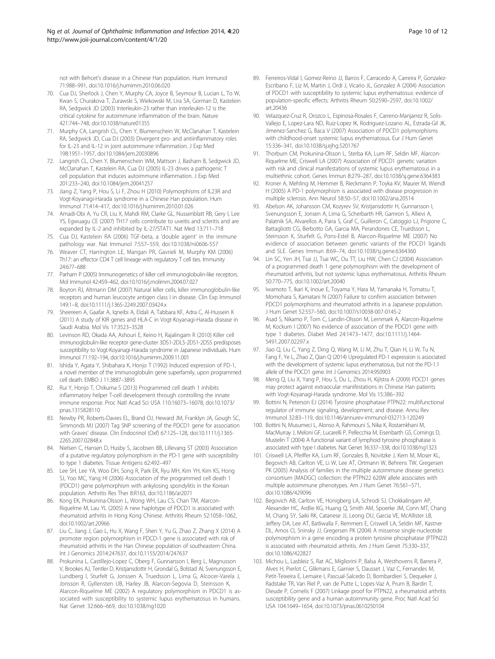<span id="page-9-0"></span>not with Behcet's disease in a Chinese Han population. Hum Immunol 71:988–991, doi:10.1016/j.humimm.2010.06.020

- 70. Cua DJ, Sherlock J, Chen Y, Murphy CA, Joyce B, Seymour B, Lucian L, To W, Kwan S, Churakova T, Zurawski S, Wiekowski M, Lira SA, Gorman D, Kastelein RA, Sedgwick JD (2003) Interleukin-23 rather than interleukin-12 is the critical cytokine for autoimmune inflammation of the brain. Nature 421:744–748, doi:10.1038/nature01355
- 71. Murphy CA, Langrish CL, Chen Y, Blumenschein W, McClanahan T, Kastelein RA, Sedgwick JD, Cua DJ (2003) Divergent pro- and antiinflammatory roles for IL-23 and IL-12 in joint autoimmune inflammation. J Exp Med 198:1951–1957, doi:10.1084/jem.20030896
- 72. Langrish CL, Chen Y, Blumenschein WM, Mattson J, Basham B, Sedgwick JD, McClanahan T, Kastelein RA, Cua DJ (2005) IL-23 drives a pathogenic T cell population that induces autoimmune inflammation. J Exp Med 201:233–240, doi:10.1084/jem.20041257
- 73. Jiang Z, Yang P, Hou S, Li F, Zhou H (2010) Polymorphisms of IL23R and Vogt-Koyanagi-Harada syndrome in a Chinese Han population. Hum Immunol 71:414–417, doi:10.1016/j.humimm.2010.01.026
- 74. Amadi-Obi A, Yu CR, Liu X, Mahdi RM, Clarke GL, Nussenblatt RB, Gery I, Lee YS, Egwuagu CE (2007) TH17 cells contribute to uveitis and scleritis and are expanded by IL-2 and inhibited by IL-27/STAT1. Nat Med 13:711–718
- 75. Cua DJ, Kastelein RA (2006) TGF-beta, a 'double agent' in the immune pathology war. Nat Immunol 7:557–559, doi:10.1038/ni0606-557
- 76. Weaver CT, Harrington LE, Mangan PR, Gavrieli M, Murphy KM (2006) Th17: an effector CD4 T cell lineage with regulatory T cell ties. Immunity 24:677–688
- 77. Parham P (2005) Immunogenetics of killer cell immunoglobulin-like receptors. Mol Immunol 42:459–462, doi:10.1016/j.molimm.2004.07.027
- 78. Boyton RJ, Altmann DM (2007) Natural killer cells, killer immunoglobulin-like receptors and human leucocyte antigen class I in disease. Clin Exp Immunol 149:1–8, doi:10.1111/j.1365-2249.2007.03424.x
- 79. Sheereen A, Gaafar A, Iqneibi A, Eldali A, Tabbara KF, Adra C, Al-Hussein K (2011) A study of KIR genes and HLA-C in Vogt-Koyanagi-Harada disease in Saudi Arabia. Mol Vis 17:3523–3528
- 80. Levinson RD, Okada AA, Ashouri E, Keino H, Rajalingam R (2010) Killer cell immunoglobulin-like receptor gene-cluster 3DS1-2DL5-2DS1-2DS5 predisposes susceptibility to Vogt-Koyanagi-Harada syndrome in Japanese individuals. Hum Immunol 71:192–194, doi:10.1016/j.humimm.2009.11.001
- 81. Ishida Y, Agata Y, Shibahara K, Honjo T (1992) Induced expression of PD-1, a novel member of the immunoglobulin gene superfamily, upon programmed cell death. EMBO J 11:3887–3895
- 82. Rui Y, Honjo T, Chikuma S (2013) Programmed cell death 1 inhibits inflammatory helper T-cell development through controlling the innate immune response. Proc Natl Acad Sci USA 110:16073–16078, doi:10.1073/ pnas.1315828110
- 83. Newby PR, Roberts-Davies EL, Brand OJ, Heward JM, Franklyn JA, Gough SC, Simmonds MJ (2007) Tag SNP screening of the PDCD1 gene for association with Graves' disease. Clin Endocrinol (Oxf) 67:125–128, doi:10.1111/j.1365- 2265.2007.02848.x
- 84. Nielsen C, Hansen D, Husby S, Jacobsen BB, Lillevang ST (2003) Association of a putative regulatory polymorphism in the PD-1 gene with susceptibility to type 1 diabetes. Tissue Antigens 62:492–497
- 85. Lee SH, Lee YA, Woo DH, Song R, Park EK, Ryu MH, Kim YH, Kim KS, Hong SJ, Yoo MC, Yang HI (2006) Association of the programmed cell death 1 (PDCD1) gene polymorphism with ankylosing spondylitis in the Korean population. Arthritis Res Ther 8:R163, doi:10.1186/ar2071
- 86. Kong EK, Prokunina-Olsson L, Wong WH, Lau CS, Chan TM, Alarcon-Riquelme M, Lau YL (2005) A new haplotype of PDCD1 is associated with rheumatoid arthritis in Hong Kong Chinese. Arthritis Rheum 52:1058–1062, doi:10.1002/art.20966
- 87. Liu C, Jiang J, Gao L, Hu X, Wang F, Shen Y, Yu G, Zhao Z, Zhang X (2014) A promoter region polymorphism in PDCD-1 gene is associated with risk of rheumatoid arthritis in the Han Chinese population of southeastern China. Int J Genomics 2014:247637, doi:10.1155/2014/247637
- 88. Prokunina L, Castillejo-Lopez C, Oberg F, Gunnarsson I, Berg L, Magnusson V, Brookes AJ, Tentler D, Kristjansdottir H, Grondal G, Bolstad AI, Svenungsson E, Lundberg I, Sturfelt G, Jonssen A, Truedsson L, Lima G, Alcocer-Varela J, Jonsson R, Gyllensten UB, Harley JB, Alarcon-Segovia D, Steinsson K, Alarcon-Riquelme ME (2002) A regulatory polymorphism in PDCD1 is associated with susceptibility to systemic lupus erythematosus in humans. Nat Genet 32:666–669, doi:10.1038/ng1020
- 89. Ferreiros-Vidal I, Gomez-Reino JJ, Barros F, Carracedo A, Carreira P, Gonzalez-Escribano F, Liz M, Martin J, Ordi J, Vicario JL, Gonzalez A (2004) Association of PDCD1 with susceptibility to systemic lupus erythematosus: evidence of population-specific effects. Arthritis Rheum 50:2590–2597, doi:10.1002/ art.20436
- 90. Velazquez-Cruz R, Orozco L, Espinosa-Rosales F, Carreno-Manjarrez R, Solis-Vallejo E, Lopez-Lara ND, Ruiz-Lopez IK, Rodriguez-Lozano AL, Estrada-Gil JK, Jimenez-Sanchez G, Baca V (2007) Association of PDCD1 polymorphisms with childhood-onset systemic lupus erythematosus. Eur J Hum Genet 15:336–341, doi:10.1038/sj.ejhg.5201767
- 91. Thorburn CM, Prokunina-Olsson L, Sterba KA, Lum RF, Seldin MF, Alarcon-Riquelme ME, Criswell LA (2007) Association of PDCD1 genetic variation with risk and clinical manifestations of systemic lupus erythematosus in a multiethnic cohort. Genes Immun 8:279–287, doi:10.1038/sj.gene.6364383
- 92. Kroner A, Mehling M, Hemmer B, Rieckmann P, Toyka KV, Maurer M, Wiendl H (2005) A PD-1 polymorphism is associated with disease progression in multiple sclerosis. Ann Neurol 58:50–57, doi:10.1002/ana.20514
- 93. Abelson AK, Johansson CM, Kozyrev SV, Kristjansdottir H, Gunnarsson I, Svenungsson E, Jonsen A, Lima G, Scherbarth HR, Gamron S, Allievi A, Palatnik SA, Alvarellos A, Paira S, Graf C, Guilleron C, Catoggio LJ, Prigione C, Battagliotti CG, Berbotto GA, Garcia MA, Perandones CE, Truedsson L, Steinsson K, Sturfelt G, Pons-Estel B, Alarcon-Riquelme ME (2007) No evidence of association between genetic variants of the PDCD1 ligands and SLE. Genes Immun 8:69–74, doi:10.1038/sj.gene.6364360
- 94. Lin SC, Yen JH, Tsai JJ, Tsai WC, Ou TT, Liu HW, Chen CJ (2004) Association of a programmed death 1 gene polymorphism with the development of rheumatoid arthritis, but not systemic lupus erythematosus. Arthritis Rheum 50:770–775, doi:10.1002/art.20040
- 95. Iwamoto T, Ikari K, Inoue E, Toyama Y, Hara M, Yamanaka H, Tomatsu T, Momohara S, Kamatani N (2007) Failure to confirm association between PDCD1 polymorphisms and rheumatoid arthritis in a Japanese population. J Hum Genet 52:557–560, doi:10.1007/s10038-007-0145-2
- 96. Asad S, Nikamo P, Torn C, Landin-Olsson M, Lernmark A, Alarcon-Riquelme M, Kockum I (2007) No evidence of association of the PDCD1 gene with type 1 diabetes. Diabet Med 24:1473–1477, doi:10.1111/j.1464- 5491.2007.02297.x
- 97. Jiao Q, Liu C, Yang Z, Ding Q, Wang M, Li M, Zhu T, Qian H, Li W, Tu N, Fang F, Ye L, Zhao Z, Qian Q (2014) Upregulated PD-1 expression is associated with the development of systemic lupus erythematosus, but not the PD-1.1 allele of the PDCD1 gene. Int J Genomics 2014:950903
- 98. Meng Q, Liu X, Yang P, Hou S, Du L, Zhou H, Kijlstra A (2009) PDCD1 genes may protect against extraocular manifestations in Chinese Han patients with Vogt-Koyanagi-Harada syndrome. Mol Vis 15:386–392
- 99. Bottini N, Peterson EJ (2014) Tyrosine phosphatase PTPN22: multifunctional regulator of immune signaling, development, and disease. Annu Rev Immunol 32:83–119, doi:10.1146/annurev-immunol-032713-120249
- 100. Bottini N, Musumeci L, Alonso A, Rahmouni S, Nika K, Rostamkhani M, MacMurray J, Meloni GF, Lucarelli P, Pellecchia M, Eisenbarth GS, Comings D, Mustelin T (2004) A functional variant of lymphoid tyrosine phosphatase is associated with type I diabetes. Nat Genet 36:337–338, doi:10.1038/ng1323
- 101. Criswell LA, Pfeiffer KA, Lum RF, Gonzales B, Novitzke J, Kern M, Moser KL, Begovich AB, Carlton VE, Li W, Lee AT, Ortmann W, Behrens TW, Gregersen PK (2005) Analysis of families in the multiple autoimmune disease genetics consortium (MADGC) collection: the PTPN22 620W allele associates with multiple autoimmune phenotypes. Am J Hum Genet 76:561–571, doi:10.1086/429096
- 102. Begovich AB, Carlton VE, Honigberg LA, Schrodi SJ, Chokkalingam AP, Alexander HC, Ardlie KG, Huang Q, Smith AM, Spoerke JM, Conn MT, Chang M, Chang SY, Saiki RK, Catanese JJ, Leong DU, Garcia VE, McAllister LB, Jeffery DA, Lee AT, Batliwalla F, Remmers E, Criswell LA, Seldin MF, Kastner DL, Amos CI, Sninsky JJ, Gregersen PK (2004) A missense single-nucleotide polymorphism in a gene encoding a protein tyrosine phosphatase (PTPN22) is associated with rheumatoid arthritis. Am J Hum Genet 75:330–337, doi:10.1086/422827
- 103. Michou L, Lasbleiz S, Rat AC, Migliorini P, Balsa A, Westhovens R, Barrera P, Alves H, Pierlot C, Glikmans E, Garnier S, Dausset J, Vaz C, Fernandes M, Petit-Teixeira E, Lemaire I, Pascual-Salcedo D, Bombardieri S, Dequeker J, Radstake TR, Van Riel P, van de Putte L, Lopes-Vaz A, Prum B, Bardin T, Dieude P, Cornelis F (2007) Linkage proof for PTPN22, a rheumatoid arthritis susceptibility gene and a human autoimmunity gene. Proc Natl Acad Sci USA 104:1649–1654, doi:10.1073/pnas.0610250104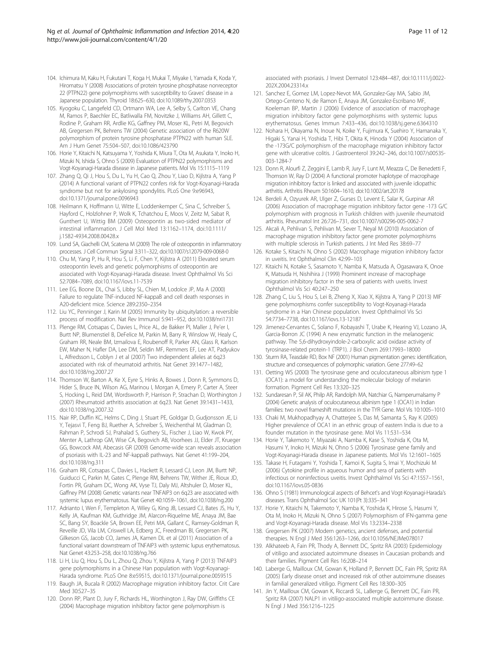- <span id="page-10-0"></span>104. Ichimura M, Kaku H, Fukutani T, Koga H, Mukai T, Miyake I, Yamada K, Koda Y, Hiromatsu Y (2008) Associations of protein tyrosine phosphatase nonreceptor 22 (PTPN22) gene polymorphisms with susceptibility to Graves' disease in a Japanese population. Thyroid 18:625–630, doi:10.1089/thy.2007.0353
- 105. Kyogoku C, Langefeld CD, Ortmann WA, Lee A, Selby S, Carlton VE, Chang M, Ramos P, Baechler EC, Batliwalla FM, Novitzke J, Williams AH, Gillett C, Rodine P, Graham RR, Ardlie KG, Gaffney PM, Moser KL, Petri M, Begovich AB, Gregersen PK, Behrens TW (2004) Genetic association of the R620W polymorphism of protein tyrosine phosphatase PTPN22 with human SLE. Am J Hum Genet 75:504–507, doi:10.1086/423790
- 106. Horie Y, Kitaichi N, Katsuyama Y, Yoshida K, Miura T, Ota M, Asukata Y, Inoko H, Mizuki N, Ishida S, Ohno S (2009) Evaluation of PTPN22 polymorphisms and Vogt-Koyanagi-Harada disease in Japanese patients. Mol Vis 15:1115–1119
- 107. Zhang Q, Qi J, Hou S, Du L, Yu H, Cao Q, Zhou Y, Liao D, Kijlstra A, Yang P (2014) A functional variant of PTPN22 confers risk for Vogt-Koyanagi-Harada syndrome but not for ankylosing spondylitis. PLoS One 9:e96943, doi:10.1371/journal.pone.0096943
- 108. Heilmann K, Hoffmann U, Witte E, Loddenkemper C, Sina C, Schreiber S, Hayford C, Holzlohner P, Wolk K, Tchatchou E, Moos V, Zeitz M, Sabat R, Gunthert U, Wittig BM (2009) Osteopontin as two-sided mediator of intestinal inflammation. J Cell Mol Med 13:1162–1174, doi:10.1111/ j.1582-4934.2008.00428.x
- 109. Lund SA, Giachelli CM, Scatena M (2009) The role of osteopontin in inflammatory processes. J Cell Commun Signal 3:311–322, doi:10.1007/s12079-009-0068-0
- 110. Chu M, Yang P, Hu R, Hou S, Li F, Chen Y, Kijlstra A (2011) Elevated serum osteopontin levels and genetic polymorphisms of osteopontin are associated with Vogt-Koyanagi-Harada disease. Invest Ophthalmol Vis Sci 52:7084–7089, doi:10.1167/iovs.11-7539
- 111. Lee EG, Boone DL, Chai S, Libby SL, Chien M, Lodolce JP, Ma A (2000) Failure to regulate TNF-induced NF-kappaB and cell death responses in A20-deficient mice. Science 289:2350–2354
- 112. Liu YC, Penninger J, Karin M (2005) Immunity by ubiquitylation: a reversible process of modification. Nat Rev Immunol 5:941–952, doi:10.1038/nri1731
- 113. Plenge RM, Cotsapas C, Davies L, Price AL, de Bakker PI, Maller J, Pe'er I, Burtt NP, Blumenstiel B, DeFelice M, Parkin M, Barry R, Winslow W, Healy C, Graham RR, Neale BM, Izmailova E, Roubenoff R, Parker AN, Glass R, Karlson EW, Maher N, Hafler DA, Lee DM, Seldin MF, Remmers EF, Lee AT, Padyukov L, Alfredsson L, Coblyn J et al (2007) Two independent alleles at 6q23 associated with risk of rheumatoid arthritis. Nat Genet 39:1477–1482, doi:10.1038/ng.2007.27
- 114. Thomson W, Barton A, Ke X, Eyre S, Hinks A, Bowes J, Donn R, Symmons D, Hider S, Bruce IN, Wilson AG, Marinou I, Morgan A, Emery P, Carter A, Steer S, Hocking L, Reid DM, Wordsworth P, Harrison P, Strachan D, Worthington J (2007) Rheumatoid arthritis association at 6q23. Nat Genet 39:1431–1433, doi:10.1038/ng.2007.32
- 115. Nair RP, Duffin KC, Helms C, Ding J, Stuart PE, Goldgar D, Gudjonsson JE, Li Y, Tejasvi T, Feng BJ, Ruether A, Schreiber S, Weichenthal M, Gladman D, Rahman P, Schrodi SJ, Prahalad S, Guthery SL, Fischer J, Liao W, Kwok PY, Menter A, Lathrop GM, Wise CA, Begovich AB, Voorhees JJ, Elder JT, Krueger GG, Bowcock AM, Abecasis GR (2009) Genome-wide scan reveals association of psoriasis with IL-23 and NF-kappaB pathways. Nat Genet 41:199–204, doi:10.1038/ng.311
- 116. Graham RR, Cotsapas C, Davies L, Hackett R, Lessard CJ, Leon JM, Burtt NP, Guiducci C, Parkin M, Gates C, Plenge RM, Behrens TW, Wither JE, Rioux JD, Fortin PR, Graham DC, Wong AK, Vyse TJ, Daly MJ, Altshuler D, Moser KL, Gaffney PM (2008) Genetic variants near TNFAIP3 on 6q23 are associated with systemic lupus erythematosus. Nat Genet 40:1059–1061, doi:10.1038/ng.200
- 117. Adrianto I, Wen F, Templeton A, Wiley G, King JB, Lessard CJ, Bates JS, Hu Y, Kelly JA, Kaufman KM, Guthridge JM, Alarcon-Riquelme ME, Anaya JM, Bae SC, Bang SY, Boackle SA, Brown EE, Petri MA, Gallant C, Ramsey-Goldman R, Reveille JD, Vila LM, Criswell LA, Edberg JC, Freedman BI, Gregersen PK, Gilkeson GS, Jacob CO, James JA, Kamen DL et al (2011) Association of a functional variant downstream of TNFAIP3 with systemic lupus erythematosus. Nat Genet 43:253–258, doi:10.1038/ng.766
- 118. Li H, Liu Q, Hou S, Du L, Zhou Q, Zhou Y, Kijlstra A, Yang P (2013) TNFAIP3 gene polymorphisms in a Chinese Han population with Vogt-Koyanagi-Harada syndrome. PLoS One 8:e59515, doi:10.1371/journal.pone.0059515
- 119. Baugh JA, Bucala R (2002) Macrophage migration inhibitory factor. Crit Care Med 30:S27–35
- 120. Donn RP, Plant D, Jury F, Richards HL, Worthington J, Ray DW, Griffiths CE (2004) Macrophage migration inhibitory factor gene polymorphism is

associated with psoriasis. J Invest Dermatol 123:484–487, doi:10.1111/j.0022- 202X.2004.23314.x

- 121. Sanchez E, Gomez LM, Lopez-Nevot MA, Gonzalez-Gay MA, Sabio JM, Ortego-Centeno N, de Ramon E, Anaya JM, Gonzalez-Escribano MF, Koeleman BP, Martin J (2006) Evidence of association of macrophage migration inhibitory factor gene polymorphisms with systemic lupus erythematosus. Genes Immun 7:433–436, doi:10.1038/sj.gene.6364310
- 122. Nohara H, Okayama N, Inoue N, Koike Y, Fujimura K, Suehiro Y, Hamanaka Y, Higaki S, Yanai H, Yoshida T, Hibi T, Okita K, Hinoda Y (2004) Association of the -173G/C polymorphism of the macrophage migration inhibitory factor gene with ulcerative colitis. J Gastroenterol 39:242–246, doi:10.1007/s00535- 003-1284-7
- 123. Donn R, Alourfi Z, Zeggini E, Lamb R, Jury F, Lunt M, Meazza C, De Benedetti F, Thomson W, Ray D (2004) A functional promoter haplotype of macrophage migration inhibitory factor is linked and associated with juvenile idiopathic arthritis. Arthritis Rheum 50:1604–1610, doi:10.1002/art.20178
- 124. Berdeli A, Ozyurek AR, Ulger Z, Gurses D, Levent E, Salar K, Gurpinar AR (2006) Association of macrophage migration inhibitory factor gene -173 G/C polymorphism with prognosis in Turkish children with juvenile rheumatoid arthritis. Rheumatol Int 26:726–731, doi:10.1007/s00296-005-0062-7
- 125. Akcali A, Pehlivan S, Pehlivan M, Sever T, Neyal M (2010) Association of macrophage migration inhibitory factor gene promoter polymorphisms with multiple sclerosis in Turkish patients. J Int Med Res 38:69–77
- 126. Kotake S, Kitaichi N, Ohno S (2002) Macrophage migration inhibitory factor in uveitis. Int Ophthalmol Clin 42:99–103
- 127. Kitaichi N, Kotake S, Sasamoto Y, Namba K, Matsuda A, Ogasawara K, Onoe K, Matsuda H, Nishihira J (1999) Prominent increase of macrophage migration inhibitory factor in the sera of patients with uveitis. Invest Ophthalmol Vis Sci 40:247–250
- 128. Zhang C, Liu S, Hou S, Lei B, Zheng X, Xiao X, Kijlstra A, Yang P (2013) MIF gene polymorphisms confer susceptibility to Vogt-Koyanagi-Harada syndrome in a Han Chinese population. Invest Ophthalmol Vis Sci 54:7734–7738, doi:10.1167/iovs.13-12187
- 129. Jimenez-Cervantes C, Solano F, Kobayashi T, Urabe K, Hearing VJ, Lozano JA, Garcia-Borron JC (1994) A new enzymatic function in the melanogenic pathway. The 5,6-dihydroxyindole-2-carboxylic acid oxidase activity of tyrosinase-related protein-1 (TRP1). J Biol Chem 269:17993–18000
- 130. Sturm RA, Teasdale RD, Box NF (2001) Human pigmentation genes: identification, structure and consequences of polymorphic variation. Gene 277:49–62
- 131. Oetting WS (2000) The tyrosinase gene and oculocutaneous albinism type 1 (OCA1): a model for understanding the molecular biology of melanin formation. Pigment Cell Res 13:320–325
- 132. Sundaresan P, Sil AK, Philp AR, Randolph MA, Natchiar G, Namperumalsamy P (2004) Genetic analysis of oculocutaneous albinism type 1 (OCA1) in Indian families: two novel frameshift mutations in the TYR Gene. Mol Vis 10:1005–1010
- 133. Chaki M, Mukhopadhyay A, Chatterjee S, Das M, Samanta S, Ray K (2005) Higher prevalence of OCA1 in an ethnic group of eastern India is due to a founder mutation in the tyrosinase gene. Mol Vis 11:531–534
- 134. Horie Y, Takemoto Y, Miyazaki A, Namba K, Kase S, Yoshida K, Ota M, Hasumi Y, Inoko H, Mizuki N, Ohno S (2006) Tyrosinase gene family and Vogt-Koyanagi-Harada disease in Japanese patients. Mol Vis 12:1601–1605
- 135. Takase H, Futagami Y, Yoshida T, Kamoi K, Sugita S, Imai Y, Mochizuki M (2006) Cytokine profile in aqueous humor and sera of patients with infectious or noninfectious uveitis. Invest Ophthalmol Vis Sci 47:1557–1561, doi:10.1167/iovs.05-0836
- 136. Ohno S (1981) Immunological aspects of Behcet's and Vogt-Koyanagi-Harada's diseases. Trans Ophthalmol Soc UK 101(Pt 3):335–341
- 137. Horie Y, Kitaichi N, Takemoto Y, Namba K, Yoshida K, Hirose S, Hasumi Y, Ota M, Inoko H, Mizuki N, Ohno S (2007) Polymorphism of IFN-gamma gene and Vogt-Koyanagi-Harada disease. Mol Vis 13:2334–2338
- 138. Gregersen PK (2007) Modern genetics, ancient defenses, and potential therapies. N Engl J Med 356:1263–1266, doi:10.1056/NEJMe078017
- 139. Alkhateeb A, Fain PR, Thody A, Bennett DC, Spritz RA (2003) Epidemiology of vitiligo and associated autoimmune diseases in Caucasian probands and their families. Pigment Cell Res 16:208–214
- 140. Laberge G, Mailloux CM, Gowan K, Holland P, Bennett DC, Fain PR, Spritz RA (2005) Early disease onset and increased risk of other autoimmune diseases in familial generalized vitiligo. Pigment Cell Res 18:300–305
- 141. Jin Y, Mailloux CM, Gowan K, Riccardi SL, LaBerge G, Bennett DC, Fain PR, Spritz RA (2007) NALP1 in vitiligo-associated multiple autoimmune disease. N Engl J Med 356:1216–1225